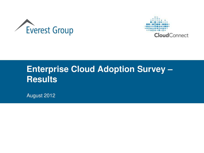



# **Enterprise Cloud Adoption Survey – Results**

August 2012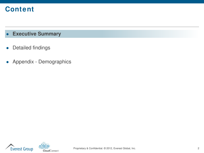# **Content**

- **Executive Summary**
- Detailed findings
- Appendix Demographics



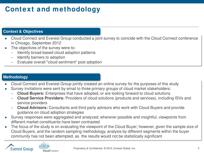# **Context and methodology**

### **Context & Objectives**

- Cloud Connect and Everest Group conducted a joint survey to coincide with the Cloud Connect conference in Chicago, September 2012
- The objectives of the survey were to:
	- Identify broad-based cloud adoption patterns
	- Identify barriers to adoption
	- Evaluate overall "cloud sentiment" post adoption

### **Methodology**

- Cloud Connect and Everest Group jointly created an online survey for the purposes of this study
- Survey invitations were sent by email to three primary groups of cloud market stakeholders:
	- **Cloud Buyers:** Enterprises that have adopted, or are looking forward to cloud solutions
	- **Cloud Service Providers:** Providers of cloud solutions (products and services), including ISVs and service providers
	- **Cloud Advisors:** Consultants and third party advisors who work with Cloud Buyers and provide guidance on cloud adoption strategies
- Survey responses were aggregated and analyzed; wherever possible and insightful, viewpoints from different market constituents have been contrasted
- The focus of the study is on evaluating the viewpoint of the Cloud Buyer; however, given the sample size of Cloud Buyers, and the random sampling methodology, analysis by different segments within the buyer community has not been attempted, as the results would not be statistically significant

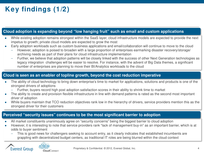# **Key findings (1/2)**

### **Cloud adoption is expanding beyond "low hanging fruit" such as email and custom applications**

- While existing adoption remains strongest within the SaaS layer, cloud infrastructure models are expected to provide the next impetus to growth; private cloud models are expected to grow the most
- Early adoption workloads such as custom business applications and email/collaboration will continue to move to the cloud
	- However, adoption is poised to broaden with a large proportion of enterprises earmarking disaster recovery/storage/ archiving needs as part of their plans for cloud infrastructure implementation
	- Further, we believe that adoption patterns will be closely linked with the success of other Next Generation technologies as legacy integration challenges will be easier to resolve. For instance, with the advent of Big Data themes, a significant number of enterprises are planning to move their BI/Analytics workloads to the cloud

### **Cloud is seen as an enabler of topline growth, beyond the cost reduction imperative**

- The ability of cloud technology to bring down enterprise's time to market for applications, solutions and products is one of the strongest drivers of adoptions
	- Further, buyers record high post adoption satisfaction scores in their ability to shrink time to market
- The ability to create and provision flexible infrastructure in line with demand patterns is rated as the second most important driver of adoption
- While buyers maintain that TCO reduction objectives rank low in the hierarchy of drivers, service providers mention this as the strongest driver for their customers

### **Perceived "security issues" continues to be the most significant barrier to adoption**

- All market constituents unanimously agree on "security concerns" being the biggest barrier to cloud adoption
- However, it is interesting to note that service providers rank "lack of management buy-in" as an important barrier, which is at odds to buyer sentiment
	- This is good news for challengers seeking to account entry, as it clearly indicates that established incumbents are grappling with decentralized budget centers, as traditional IT roles are being blurred within the cloud context

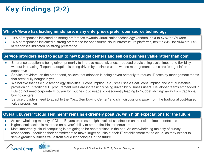# **Key findings (2/2)**

### **While VMware has leading mindshare, many enterprises prefer opensource technology**

- 19% of responses indicated no strong preference towards virtualization technology vendors, next to 47% for VMware
- 14% of responses indicated a strong preference for opensource cloud infrastructure platforms, next to 34% for VMware; 25% of responses indicated no strong preference

### **Service providers need to adapt to new budget centers and sell on business value rather than cost**

- Enterprise adoption is being driven primarily to improve responsiveness (reduced provisioning cycle times) and flexibility without increasing IT spend; adoption is being driven by business users whose management teams are "bought in" and supportive
- Service providers, on the other hand, believe that adoption is being driven primarily to reduce IT costs by management teams that aren't fully bought in yet
- We believe that as cloud technology simplifies IT consumption (e.g., small-scale SaaS consumption and virtual instance provisioning), traditional IT procurement roles are increasingly being driven by business users. Developer teams embedded in BUs do not need corporate IT buy-in for routine cloud usage, consequently leading to "budget shifting" away from traditional buying centers
- Service providers need to adapt to the "Next Gen Buying Center" and shift discussions away from the traditional cost-based value proposition

### **Overall, buyers' "cloud sentiment" remains extremely positive, with high expectations for the future**

- An overwhelming majority of Cloud Buyers expressed high levels of satisfaction on their cloud implementations
- Highest satisfaction is recorded on buyers' ability to create flexible infrastructure
- Most importantly, cloud computing is not going to be another flash in the pan. An overwhelming majority of survey respondents underlined their commitment to move larger chunks of their IT establishment to the cloud, as they expect to derive greater business value from cloud technologies in the future



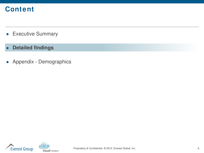# **Content**

- **•** Executive Summary
- **Detailed findings**
- Appendix Demographics



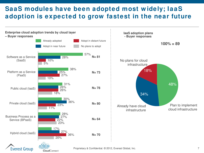## **SaaS modules have been adopted most w idely; IaaS adoption is expected to grow fastest in the near future**



Proprietary & Confidential. © 2012, Everest Global, Inc. 7 7

CloudConnect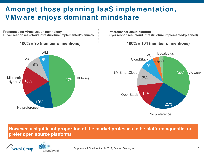# **Amongst those planning IaaS implementation, VMw are enjoys dominant mindshare**

**Preference for virtualization technology Buyer responses (cloud infrastructure implemented/planned)** 47% 19% 18% 9% 6% **100% = 95 (number of mentions)** VMware No preference Microsoft Hyper-V Xen KVM **Preference for cloud platform Buyer responses (cloud infrastructure implemented/planned)** VMware No preference **OpenStack** IBM SmartCloud CloudStack **VCE 100% = 104 (number of mentions)** 34% 25% 14% 12% 9% 4%3% **Eucalyptus** 

**However, a significant proportion of the market professes to be platform agnostic, or prefer open source platforms**



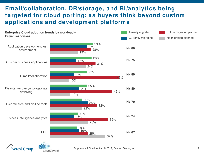### **Email/collaboration, DR/storage, and BI/analytics being targeted for cloud porting; as buyers think beyond custom applications and development platforms**



Proprietary & Confidential. © 2012, Everest Global, Inc. 9

Everest Group

CloudConnect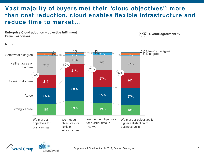### **Vast majority of buyers met their "cloud objectives"; more than cost reduction, cloud enables flexible infrastructure and reduce time to market…**







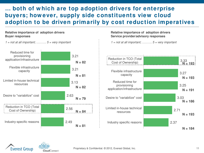## **… both of w hich are top adoption drivers for enterprise buyers; how ever, supply side constituents view cloud adoption to be driven primarily by cost reduction imperatives**

#### **Relative importance of adoption drivers Buyer responses**



#### **Relative importance of adoption drivers Service provider/advisory responses**

 $1 = not$  at all important; .........  $5 = very$  important





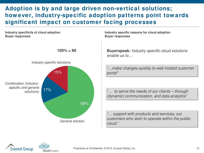## **Adoption is by and large driven non-vertical solutions; how ever, industry-specific adoption patterns point tow ards significant impact on customer facing processes**

**Industry specificity of cloud adoption Buyer responses**



CloudConnect

**100% = 89**

**Industry specific reasons for cloud adoption Buyer responses**

**Buyerspeak:** Industry specific cloud solutions enable us to…

"…make changes quickly to web hosted customer portal"

"… to serve the needs of our clients – through (dynamic) communication, and data analytics"

"… support with products and services, our customers who wish to operate within the public cloud."

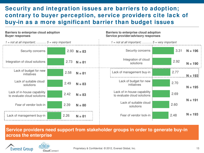### **Security and integration issues are barriers to adoption; contrary to buyer perception, service providers cite lack of buy-in as a more significant barrier than budget issues**

#### **Barriers to enterprise cloud adoption Buyer responses**

#### **Barriers to enterprise cloud adoption Service provider/advisory responses**



**Service providers need support from stakeholder groups in order to generate buy-in across the enterprise**



CloudConnect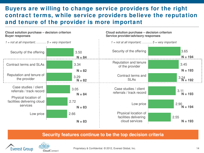### **Buyers are w illing to change service providers for the right contract terms, w hile service providers believe the reputation and tenure of the provider is more important**

#### **Cloud solution purchase – decision criterion Buyer responses**

#### **Cloud solution purchase – decision criterion Service provider/advisory responses**



### **Security features continue to be the top decision criteria**



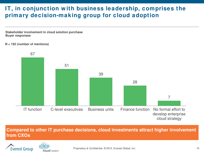## **IT, in conjunction w ith business leadership, comprises the primary decision-making group for cloud adoption**

**Stakeholder involvement in cloud solution purchase Buyer responses**

**N = 192 (number of mentions)**



**Compared to other IT purchase decisions, cloud investments attract higher involvement from CXOs**



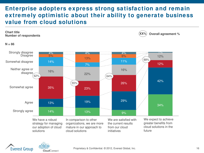### **Enterprise adopters express strong satisfaction and remain extremely optimistic about their ability to generate business value from cloud solutions**



We have a robust strategy for managing our adoption of cloud solutions

In comparison to other organizations, we are more mature in our approach to cloud solutions

We are satisfied with the current results from our cloud initiatives

We expect to achieve greater benefits from cloud solutions in the future



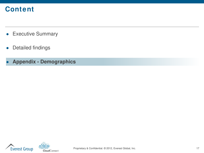# **Content**

- Executive Summary
- Detailed findings
- **Appendix Demographics**



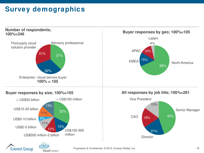# **Survey demographics**

CloudConnect

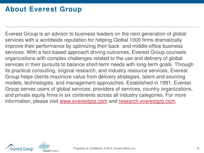## **About Everest Group**

Everest Group is an advisor to business leaders on the next generation of global services with a worldwide reputation for helping Global 1000 firms dramatically improve their performance by optimizing their back- and middle-office business services. With a fact-based approach driving outcomes, Everest Group counsels organizations with complex challenges related to the use and delivery of global services in their pursuits to balance short-term needs with long-term goals. Through its practical consulting, original research, and industry resource services, Everest Group helps clients maximize value from delivery strategies, talent and sourcing models, technologies, and management approaches. Established in 1991, Everest Group serves users of global services, providers of services, country organizations, and private equity firms in six continents across all industry categories. For more information, please visit [www.everestgrp.com](http://www.everestgrp.com/) and [research.everestgrp.com](http://research.everestgrp.com/).



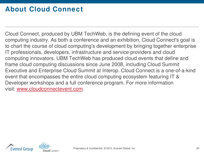# **About Cloud Connect**

Cloud Connect, produced by UBM TechWeb, is the defining event of the cloud computing industry. As both a conference and an exhibition, Cloud Connect's goal is to chart the course of cloud computing's development by bringing together enterprise IT professionals, developers, infrastructure and service providers and cloud computing innovators. UBM TechWeb has produced cloud events that define and frame cloud computing discussions since June 2008, including Cloud Summit Executive and Enterprise Cloud Summit at Interop. Cloud Connect is a one-of-a-kind event that encompasses the entire cloud computing ecosystem featuring IT & Developer workshops and a full conference program. For more information visit: [www.cloudconnectevent.com](http://www.cloudconnectevent.com/).